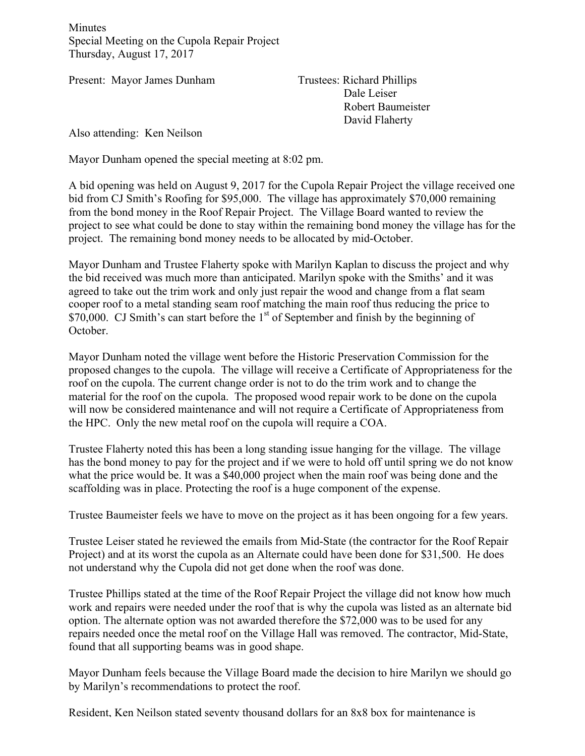Minutes Special Meeting on the Cupola Repair Project Thursday, August 17, 2017

Present: Mayor James Dunham Trustees: Richard Phillips

Dale Leiser Robert Baumeister David Flaherty

Also attending: Ken Neilson

Mayor Dunham opened the special meeting at 8:02 pm.

A bid opening was held on August 9, 2017 for the Cupola Repair Project the village received one bid from CJ Smith's Roofing for \$95,000. The village has approximately \$70,000 remaining from the bond money in the Roof Repair Project. The Village Board wanted to review the project to see what could be done to stay within the remaining bond money the village has for the project. The remaining bond money needs to be allocated by mid-October.

Mayor Dunham and Trustee Flaherty spoke with Marilyn Kaplan to discuss the project and why the bid received was much more than anticipated. Marilyn spoke with the Smiths' and it was agreed to take out the trim work and only just repair the wood and change from a flat seam cooper roof to a metal standing seam roof matching the main roof thus reducing the price to  $$70,000$ . CJ Smith's can start before the 1<sup>st</sup> of September and finish by the beginning of October.

Mayor Dunham noted the village went before the Historic Preservation Commission for the proposed changes to the cupola. The village will receive a Certificate of Appropriateness for the roof on the cupola. The current change order is not to do the trim work and to change the material for the roof on the cupola. The proposed wood repair work to be done on the cupola will now be considered maintenance and will not require a Certificate of Appropriateness from the HPC. Only the new metal roof on the cupola will require a COA.

Trustee Flaherty noted this has been a long standing issue hanging for the village. The village has the bond money to pay for the project and if we were to hold off until spring we do not know what the price would be. It was a \$40,000 project when the main roof was being done and the scaffolding was in place. Protecting the roof is a huge component of the expense.

Trustee Baumeister feels we have to move on the project as it has been ongoing for a few years.

Trustee Leiser stated he reviewed the emails from Mid-State (the contractor for the Roof Repair Project) and at its worst the cupola as an Alternate could have been done for \$31,500. He does not understand why the Cupola did not get done when the roof was done.

Trustee Phillips stated at the time of the Roof Repair Project the village did not know how much work and repairs were needed under the roof that is why the cupola was listed as an alternate bid option. The alternate option was not awarded therefore the \$72,000 was to be used for any repairs needed once the metal roof on the Village Hall was removed. The contractor, Mid-State, found that all supporting beams was in good shape.

Mayor Dunham feels because the Village Board made the decision to hire Marilyn we should go by Marilyn's recommendations to protect the roof.

Resident, Ken Neilson stated seventy thousand dollars for an 8x8 box for maintenance is